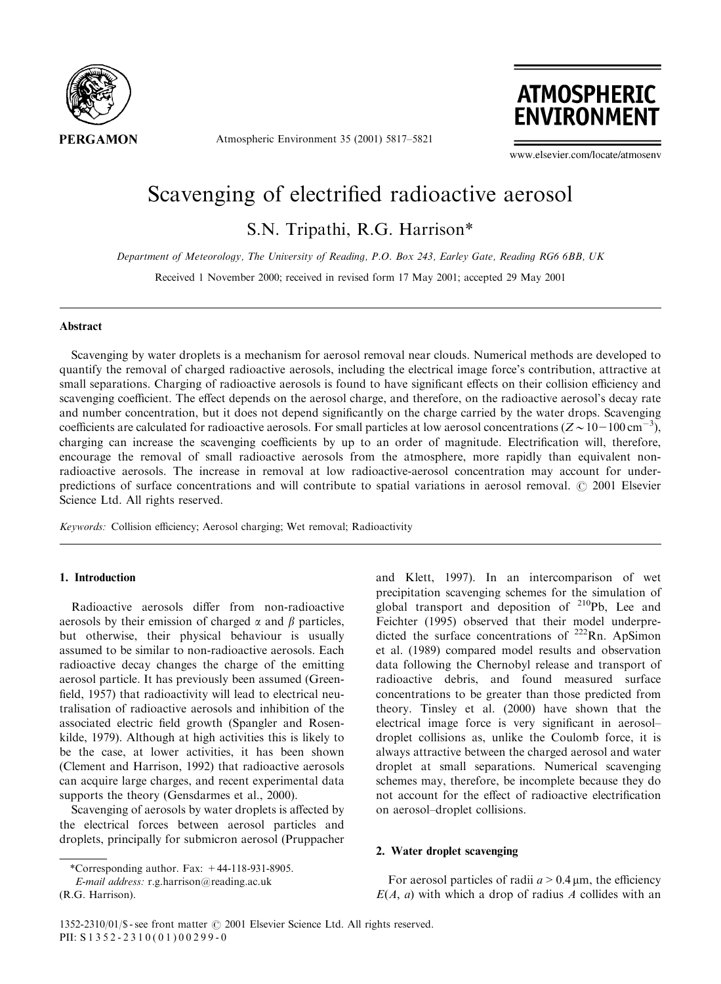

Atmospheric Environment 35 (2001) 5817–5821



www.elsevier.com/locate/atmosenv

# Scavenging of electrified radioactive aerosol

S.N. Tripathi, R.G. Harrison\*

Department of Meteorology, The University of Reading, P.O. Box 243, Earley Gate, Reading RG66BB, UK

Received 1 November 2000; received in revised form 17 May 2001; accepted 29 May 2001

# **Abstract**

Scavenging by water droplets is a mechanism for aerosol removal near clouds.Numerical methods are developed to quantify the removal of charged radioactive aerosols, including the electrical image force's contribution, attractive at small separations.Charging of radioactive aerosols is found to have significant effects on their collision efficiency and scavenging coefficient.The effect depends on the aerosol charge, and therefore, on the radioactive aerosol's decay rate and number concentration, but it does not depend significantly on the charge carried by the water drops. Scavenging coefficients are calculated for radioactive aerosols. For small particles at low aerosol concentrations ( $Z \sim 10-100$  cm<sup>-3</sup>), charging can increase the scavenging coefficients by up to an order of magnitude.Electrification will, therefore, encourage the removal of small radioactive aerosols from the atmosphere, more rapidly than equivalent nonradioactive aerosols.The increase in removal at low radioactive-aerosol concentration may account for underpredictions of surface concentrations and will contribute to spatial variations in aerosol removal.  $\odot$  2001 Elsevier Science Ltd. All rights reserved.

Keywords: Collision efficiency; Aerosol charging; Wet removal; Radioactivity

# 1. Introduction

Radioactive aerosols differ from non-radioactive aerosols by their emission of charged  $\alpha$  and  $\beta$  particles, but otherwise, their physical behaviour is usually assumed to be similar to non-radioactive aerosols. Each radioactive decay changes the charge of the emitting aerosol particle.It has previously been assumed (Greenfield, 1957) that radioactivity will lead to electrical neutralisation of radioactive aerosols and inhibition of the associated electric field growth (Spangler and Rosenkilde, 1979).Although at high activities this is likely to be the case, at lower activities, it has been shown (Clement and Harrison, 1992) that radioactive aerosols can acquire large charges, and recent experimental data supports the theory (Gensdarmes et al., 2000).

Scavenging of aerosols by water droplets is affected by the electrical forces between aerosol particles and droplets, principally for submicron aerosol (Pruppacher

(R.G. Harrison).

and Klett, 1997).In an intercomparison of wet precipitation scavenging schemes for the simulation of global transport and deposition of  $^{210}Pb$ , Lee and Feichter (1995) observed that their model underpredicted the surface concentrations of  $222$ Rn. ApSimon et al.(1989) compared model results and observation data following the Chernobyl release and transport of radioactive debris, and found measured surface concentrations to be greater than those predicted from theory.Tinsley et al.(2000) have shown that the electrical image force is very significant in aerosol– droplet collisions as, unlike the Coulomb force, it is always attractive between the charged aerosol and water droplet at small separations. Numerical scavenging schemes may, therefore, be incomplete because they do not account for the effect of radioactive electrification on aerosol–droplet collisions.

## 2. Water droplet scavenging

For aerosol particles of radii  $a > 0.4 \,\mu$ m, the efficiency  $E(A, a)$  with which a drop of radius A collides with an

<sup>\*</sup>Corresponding author. Fax:  $+44-118-931-8905$ .

E-mail address: r.g.harrison@reading.ac.uk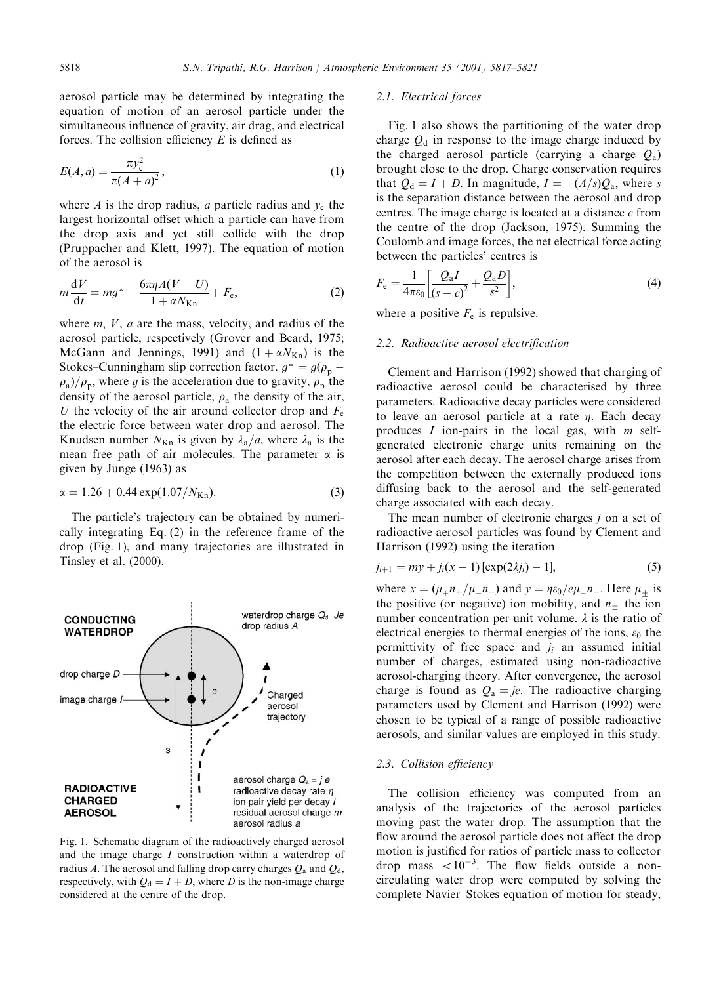aerosol particle may be determined by integrating the equation of motion of an aerosol particle under the simultaneous influence of gravity, air drag, and electrical forces. The collision efficiency  $E$  is defined as

$$
E(A, a) = \frac{\pi y_c^2}{\pi (A + a)^2},
$$
\n(1)

where A is the drop radius, a particle radius and  $y_c$  the largest horizontal offset which a particle can have from the drop axis and yet still collide with the drop (Pruppacher and Klett, 1997). The equation of motion of the aerosol is

$$
m\frac{\mathrm{d}V}{\mathrm{d}t} = mg^* - \frac{6\pi\eta A(V - U)}{1 + \alpha N_{\mathrm{Kn}}} + F_{\mathrm{e}},\tag{2}
$$

where  $m$ ,  $V$ ,  $a$  are the mass, velocity, and radius of the aerosol particle, respectively (Grover and Beard, 1975; McGann and Jennings, 1991) and  $(1 + \alpha N_{Kn})$  is the Stokes–Cunningham slip correction factor.  $g^* = g(\rho_p \rho_a$ / $\rho_p$ , where g is the acceleration due to gravity,  $\rho_p$  the density of the aerosol particle,  $\rho_a$  the density of the air, U the velocity of the air around collector drop and  $F_e$ the electric force between water drop and aerosol.The Knudsen number  $N_{\text{Kn}}$  is given by  $\lambda_a/a$ , where  $\lambda_a$  is the mean free path of air molecules. The parameter  $\alpha$  is given by Junge (1963) as

$$
\alpha = 1.26 + 0.44 \exp(1.07/N_{\text{Kn}}). \tag{3}
$$

The particle's trajectory can be obtained by numerically integrating Eq.(2) in the reference frame of the drop (Fig.1), and many trajectories are illustrated in Tinsley et al.(2000).



Fig.1. Schematic diagram of the radioactively charged aerosol and the image charge I construction within a waterdrop of radius A. The aerosol and falling drop carry charges  $Q_a$  and  $Q_d$ , respectively, with  $Q_d = I + D$ , where D is the non-image charge considered at the centre of the drop.

## 2.1. Electrical forces

Fig.1 also shows the partitioning of the water drop charge  $Q_d$  in response to the image charge induced by the charged aerosol particle (carrying a charge  $Q_a$ ) brought close to the drop.Charge conservation requires that  $Q_d = I + D$ . In magnitude,  $I = -(A/s)Q_a$ , where s is the separation distance between the aerosol and drop centres. The image charge is located at a distance  $c$  from the centre of the drop (Jackson, 1975). Summing the Coulomb and image forces, the net electrical force acting between the particles' centres is

$$
F_{\rm e} = \frac{1}{4\pi\varepsilon_0} \left[ \frac{Q_{\rm a}I}{(s-c)^2} + \frac{Q_{\rm a}D}{s^2} \right],\tag{4}
$$

where a positive  $F_e$  is repulsive.

## 2.2. Radioactive aerosol electrification

Clement and Harrison (1992) showed that charging of radioactive aerosol could be characterised by three parameters. Radioactive decay particles were considered to leave an aerosol particle at a rate  $\eta$ . Each decay produces  $I$  ion-pairs in the local gas, with  $m$  selfgenerated electronic charge units remaining on the aerosol after each decay.The aerosol charge arises from the competition between the externally produced ions diffusing back to the aerosol and the self-generated charge associated with each decay.

The mean number of electronic charges *i* on a set of radioactive aerosol particles was found by Clement and Harrison (1992) using the iteration

$$
j_{i+1} = my + j_i(x - 1) [\exp(2\lambda j_i) - 1],
$$
 (5)

where  $x = (\mu_+ n_+/\mu_- n_-)$  and  $y = \eta \varepsilon_0/e\mu_- n_-$ . Here  $\mu_{\pm}$  is the positive (or negative) ion mobility, and  $n_{\pm}$  the ion number concentration per unit volume.  $\lambda$  is the ratio of electrical energies to thermal energies of the ions,  $\varepsilon_0$  the permittivity of free space and  $j_i$  an assumed initial number of charges, estimated using non-radioactive aerosol-charging theory. After convergence, the aerosol charge is found as  $Q_a = je$ . The radioactive charging parameters used by Clement and Harrison (1992) were chosen to be typical of a range of possible radioactive aerosols, and similar values are employed in this study.

## 2.3. Collision efficiency

The collision efficiency was computed from an analysis of the trajectories of the aerosol particles moving past the water drop.The assumption that the flow around the aerosol particle does not affect the drop motion is justified for ratios of particle mass to collector drop mass  $\langle 10^{-3}$ . The flow fields outside a noncirculating water drop were computed by solving the complete Navier–Stokes equation of motion for steady,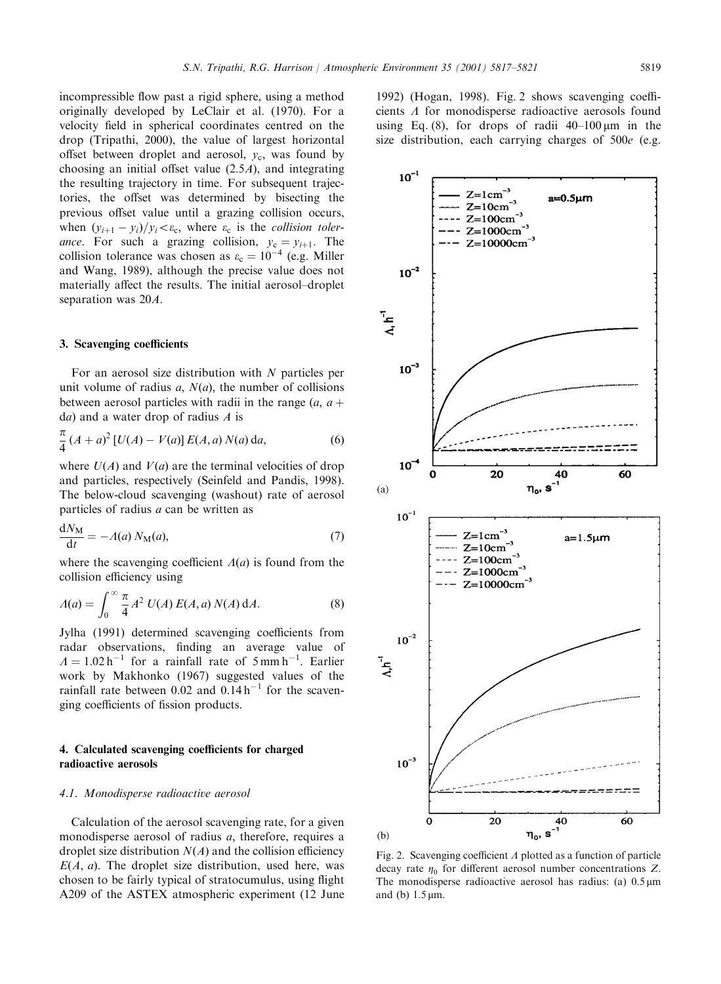incompressible flow past a rigid sphere, using a method originally developed by LeClair et al. (1970). For a velocity field in spherical coordinates centred on the drop (Tripathi, 2000), the value of largest horizontal offset between droplet and aerosol,  $y_c$ , was found by choosing an initial offset value  $(2.5A)$ , and integrating the resulting trajectory in time.For subsequent trajectories, the offset was determined by bisecting the previous offset value until a grazing collision occurs, when  $(y_{i+1} - y_i)/y_i < \varepsilon_c$ , where  $\varepsilon_c$  is the *collision toler*ance. For such a grazing collision,  $y_c = y_{i+1}$ . The collision tolerance was chosen as  $\varepsilon_c = 10^{-4}$  (e.g. Miller and Wang, 1989), although the precise value does not materially affect the results.The initial aerosol–droplet separation was 20A:

## 3. Scavenging coefficients

For an aerosol size distribution with  $N$  particles per unit volume of radius  $a, N(a)$ , the number of collisions between aerosol particles with radii in the range  $(a, a + b)$  $da)$  and a water drop of radius A is

$$
\frac{\pi}{4} (A + a)^2 [U(A) - V(a)] E(A, a) N(a) da,
$$
\n(6)

where  $U(A)$  and  $V(a)$  are the terminal velocities of drop and particles, respectively (Seinfeld and Pandis, 1998). The below-cloud scavenging (washout) rate of aerosol particles of radius a can be written as

$$
\frac{dN_M}{dt} = -A(a) N_M(a),\tag{7}
$$

where the scavenging coefficient  $\Lambda(a)$  is found from the collision efficiency using

$$
A(a) = \int_0^\infty \frac{\pi}{4} A^2 U(A) E(A, a) N(A) dA.
$$
 (8)

Jylha (1991) determined scavenging coefficients from radar observations, finding an average value of  $A = 1.02 h^{-1}$  for a rainfall rate of 5 mm h<sup>-1</sup>. Earlier work by Makhonko (1967) suggested values of the rainfall rate between  $0.02$  and  $0.14 h^{-1}$  for the scavenging coefficients of fission products.

# 4. Calculated scavenging coefficients for charged radioactive aerosols

## 4.1. Monodisperse radioactive aerosol

Calculation of the aerosol scavenging rate, for a given monodisperse aerosol of radius a, therefore, requires a droplet size distribution  $N(A)$  and the collision efficiency  $E(A, a)$ . The droplet size distribution, used here, was chosen to be fairly typical of stratocumulus, using flight A209 of the ASTEX atmospheric experiment (12 June

1992) (Hogan, 1998). Fig. 2 shows scavenging coefficients  $\Lambda$  for monodisperse radioactive aerosols found using Eq. (8), for drops of radii  $40-100 \,\mu m$  in the size distribution, each carrying charges of  $500e$  (e.g.



Fig. 2. Scavenging coefficient  $\Lambda$  plotted as a function of particle decay rate  $\eta_0$  for different aerosol number concentrations Z. The monodisperse radioactive aerosol has radius: (a)  $0.5 \,\mathrm{\upmu m}$ and (b)  $1.5 \mu m$ .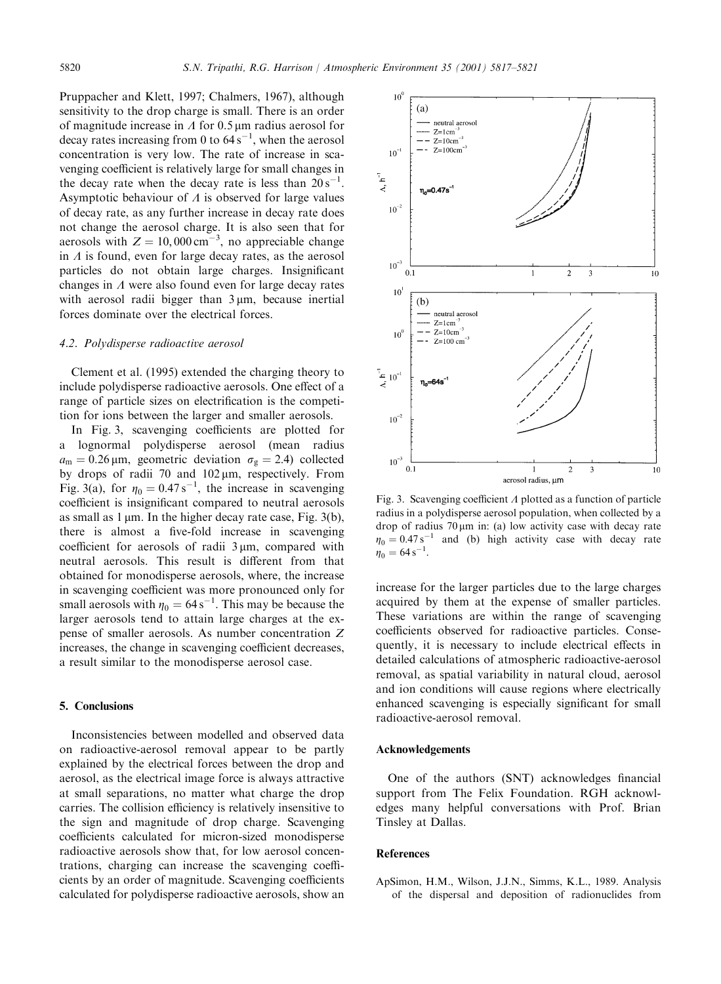Pruppacher and Klett, 1997; Chalmers, 1967), although sensitivity to the drop charge is small. There is an order of magnitude increase in  $\Lambda$  for 0.5  $\mu$ m radius aerosol for decay rates increasing from 0 to  $64 \text{ s}^{-1}$ , when the aerosol concentration is very low.The rate of increase in scavenging coefficient is relatively large for small changes in the decay rate when the decay rate is less than  $20 s^{-1}$ . Asymptotic behaviour of  $\Lambda$  is observed for large values of decay rate, as any further increase in decay rate does not change the aerosol charge.It is also seen that for aerosols with  $Z = 10,000 \text{ cm}^{-3}$ , no appreciable change in  $\Lambda$  is found, even for large decay rates, as the aerosol particles do not obtain large charges. Insignificant changes in  $\Lambda$  were also found even for large decay rates with aerosol radii bigger than  $3 \mu m$ , because inertial forces dominate over the electrical forces.

## 4.2. Polydisperse radioactive aerosol

Clement et al.(1995) extended the charging theory to include polydisperse radioactive aerosols.One effect of a range of particle sizes on electrification is the competition for ions between the larger and smaller aerosols.

In Fig.3, scavenging coefficients are plotted for a lognormal polydisperse aerosol (mean radius  $a_m = 0.26 \,\mu\text{m}$ , geometric deviation  $\sigma_g = 2.4$ ) collected by drops of radii 70 and  $102 \mu m$ , respectively. From Fig. 3(a), for  $\eta_0 = 0.47 \text{ s}^{-1}$ , the increase in scavenging coefficient is insignificant compared to neutral aerosols as small as  $1 \mu m$ . In the higher decay rate case, Fig. 3(b), there is almost a five-fold increase in scavenging coefficient for aerosols of radii  $3 \mu m$ , compared with neutral aerosols.This result is different from that obtained for monodisperse aerosols, where, the increase in scavenging coefficient was more pronounced only for small aerosols with  $\eta_0 = 64 \,\mathrm{s}^{-1}$ . This may be because the larger aerosols tend to attain large charges at the expense of smaller aerosols.As number concentration Z increases, the change in scavenging coefficient decreases, a result similar to the monodisperse aerosol case.

## 5. Conclusions

Inconsistencies between modelled and observed data on radioactive-aerosol removal appear to be partly explained by the electrical forces between the drop and aerosol, as the electrical image force is always attractive at small separations, no matter what charge the drop carries.The collision efficiency is relatively insensitive to the sign and magnitude of drop charge. Scavenging coefficients calculated for micron-sized monodisperse radioactive aerosols show that, for low aerosol concentrations, charging can increase the scavenging coefficients by an order of magnitude. Scavenging coefficients calculated for polydisperse radioactive aerosols, show an



Fig. 3. Scavenging coefficient  $\Lambda$  plotted as a function of particle radius in a polydisperse aerosol population, when collected by a drop of radius  $70 \mu m$  in: (a) low activity case with decay rate  $\eta_0 = 0.47 \text{ s}^{-1}$  and (b) high activity case with decay rate  $\eta_0 = 64 \,\mathrm{s}^{-1}$ .

increase for the larger particles due to the large charges acquired by them at the expense of smaller particles. These variations are within the range of scavenging coefficients observed for radioactive particles. Consequently, it is necessary to include electrical effects in detailed calculations of atmospheric radioactive-aerosol removal, as spatial variability in natural cloud, aerosol and ion conditions will cause regions where electrically enhanced scavenging is especially significant for small radioactive-aerosol removal.

## Acknowledgements

One of the authors (SNT) acknowledges financial support from The Felix Foundation. RGH acknowledges many helpful conversations with Prof. Brian Tinsley at Dallas.

## References

ApSimon, H.M., Wilson, J.J.N., Simms, K.L., 1989. Analysis of the dispersal and deposition of radionuclides from